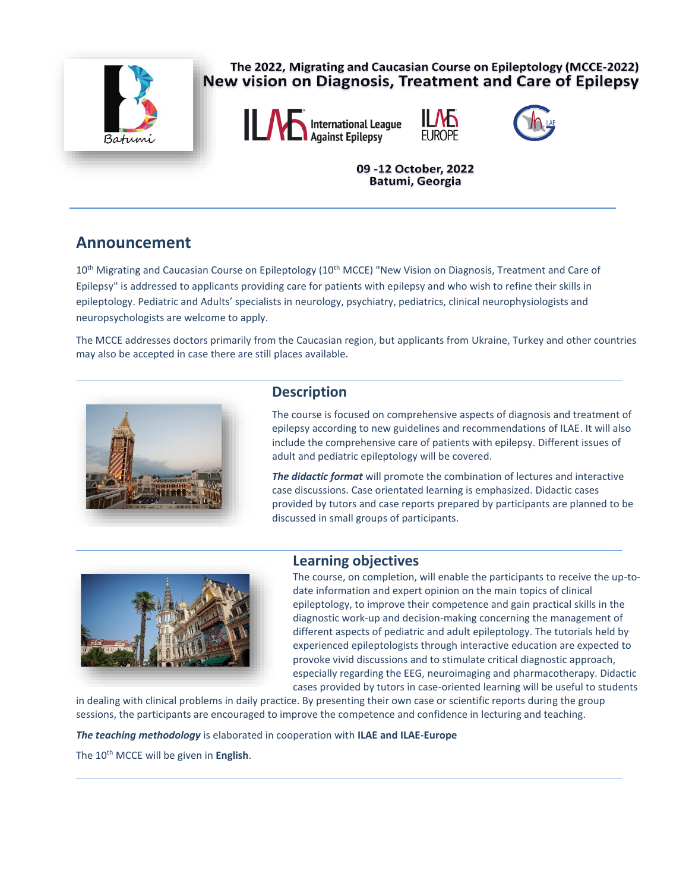

## The 2022, Migrating and Caucasian Course on Epileptology (MCCE-2022) New vision on Diagnosis, Treatment and Care of Epilepsy







09 -12 October, 2022 Batumi, Georgia

# **Announcement**

10<sup>th</sup> Migrating and Caucasian Course on Epileptology (10<sup>th</sup> MCCE) "New Vision on Diagnosis, Treatment and Care of Epilepsy" is addressed to applicants providing care for patients with epilepsy and who wish to refine their skills in epileptology. Pediatric and Adults' specialists in neurology, psychiatry, pediatrics, clinical neurophysiologists and neuropsychologists are welcome to apply.

The MCCE addresses doctors primarily from the Caucasian region, but applicants from Ukraine, Turkey and other countries may also be accepted in case there are still places available.



### **Description**

The course is focused on comprehensive aspects of diagnosis and treatment of epilepsy according to new guidelines and recommendations of ILAE. It will also include the comprehensive care of patients with epilepsy. Different issues of adult and pediatric epileptology will be covered.

*The didactic format* will promote the combination of lectures and interactive case discussions. Case orientated learning is emphasized. Didactic cases provided by tutors and case reports prepared by participants are planned to be discussed in small groups of participants.



## **Learning objectives**

The course, on completion, will enable the participants to receive the up-todate information and expert opinion on the main topics of clinical epileptology, to improve their competence and gain practical skills in the diagnostic work-up and decision-making concerning the management of different aspects of pediatric and adult epileptology. The tutorials held by experienced epileptologists through interactive education are expected to provoke vivid discussions and to stimulate critical diagnostic approach, especially regarding the EEG, neuroimaging and pharmacotherapy. Didactic cases provided by tutors in case-oriented learning will be useful to students

in dealing with clinical problems in daily practice. By presenting their own case or scientific reports during the group sessions, the participants are encouraged to improve the competence and confidence in lecturing and teaching.

*The teaching methodology* is elaborated in cooperation with **ILAE and ILAE-Europe**

The 10th MCCE will be given in **English**.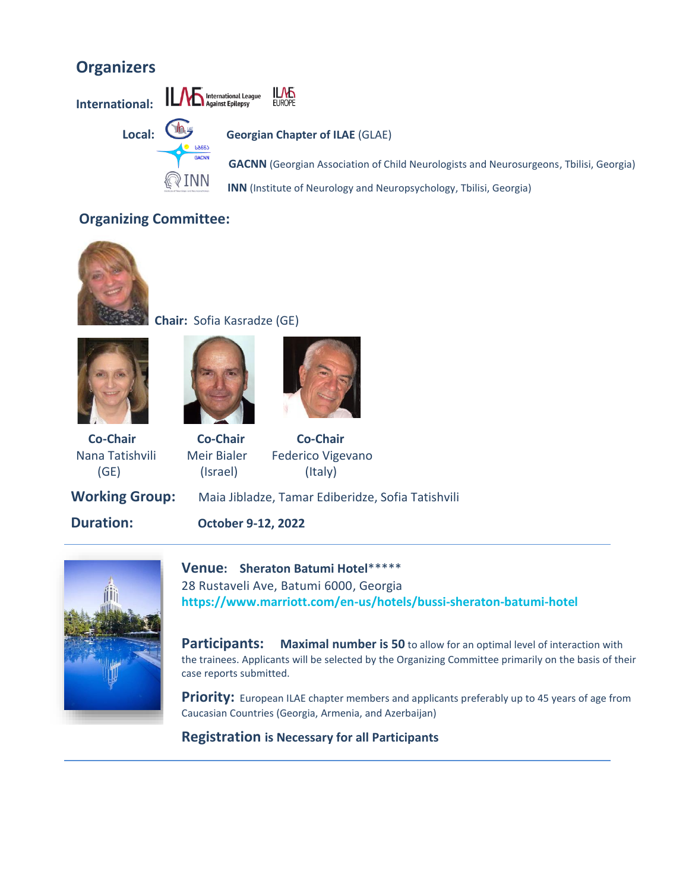# **Organizers**

IJЉ International League **International: FUROPE Local: Georgian Chapter of ILAE** (GLAE) **GACNN** (Georgian Association of Child Neurologists and Neurosurgeons, Tbilisi, Georgia) **INN** (Institute of Neurology and Neuropsychology, Tbilisi, Georgia)

## **Organizing Committee:**



## **Chair:** Sofia Kasradze (GE)







 **Co-Chair Co-Chair Co-Chair** (GE) (Israel) (Italy)

Nana Tatishvili Meir Bialer Federico Vigevano

**Working Group:** Maia Jibladze, Tamar Ediberidze, Sofia Tatishvili

**Duration: October 9-12, 2022**



**Venue: Sheraton Batumi Hotel**\*\*\*\*\* 28 Rustaveli Ave, Batumi 6000, Georgia **[https://www.marriott.com/en-us/hotels/bussi-sheraton-batumi-ho](https://www.marriott.com/en-us/hotels/bussi-sheraton-batumi-hotel)tel**

**Participants:** Maximal number is 50 to allow for an optimal level of interaction with the trainees. Applicants will be selected by the Organizing Committee primarily on the basis of their case reports submitted.

**Priority:** European ILAE chapter members and applicants preferably up to 45 years of age from Caucasian Countries (Georgia, Armenia, and Azerbaijan)

**Registration is Necessary for all Participants**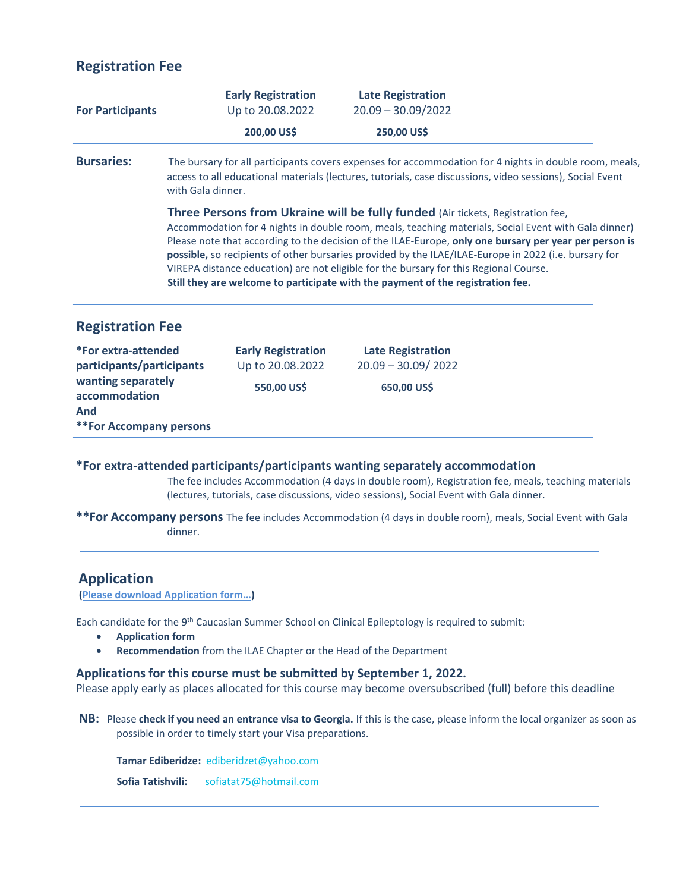## **Registration Fee**

| Up to 20.08.2022 | $20.09 - 30.09/2022$                                         |                                                                                                                                                                                                                                                                                                                                                                                                                                                                                                                                                                                                                                                                                                                                                                                                               |
|------------------|--------------------------------------------------------------|---------------------------------------------------------------------------------------------------------------------------------------------------------------------------------------------------------------------------------------------------------------------------------------------------------------------------------------------------------------------------------------------------------------------------------------------------------------------------------------------------------------------------------------------------------------------------------------------------------------------------------------------------------------------------------------------------------------------------------------------------------------------------------------------------------------|
| 200,00 US\$      | 250,00 US\$                                                  |                                                                                                                                                                                                                                                                                                                                                                                                                                                                                                                                                                                                                                                                                                                                                                                                               |
|                  |                                                              |                                                                                                                                                                                                                                                                                                                                                                                                                                                                                                                                                                                                                                                                                                                                                                                                               |
|                  |                                                              |                                                                                                                                                                                                                                                                                                                                                                                                                                                                                                                                                                                                                                                                                                                                                                                                               |
|                  |                                                              |                                                                                                                                                                                                                                                                                                                                                                                                                                                                                                                                                                                                                                                                                                                                                                                                               |
|                  | <b>Late Registration</b><br>$20.09 - 30.09 / 2022$           |                                                                                                                                                                                                                                                                                                                                                                                                                                                                                                                                                                                                                                                                                                                                                                                                               |
|                  | 650,00 US\$                                                  |                                                                                                                                                                                                                                                                                                                                                                                                                                                                                                                                                                                                                                                                                                                                                                                                               |
|                  | <b>Early Registration</b><br>Up to 20.08.2022<br>550,00 US\$ | The bursary for all participants covers expenses for accommodation for 4 nights in double room, meals,<br>access to all educational materials (lectures, tutorials, case discussions, video sessions), Social Event<br>Three Persons from Ukraine will be fully funded (Air tickets, Registration fee,<br>Accommodation for 4 nights in double room, meals, teaching materials, Social Event with Gala dinner)<br>Please note that according to the decision of the ILAE-Europe, only one bursary per year per person is<br>possible, so recipients of other bursaries provided by the ILAE/ILAE-Europe in 2022 (i.e. bursary for<br>VIREPA distance education) are not eligible for the bursary for this Regional Course.<br>Still they are welcome to participate with the payment of the registration fee. |

 The fee includes Accommodation (4 days in double room), Registration fee, meals, teaching materials (lectures, tutorials, case discussions, video sessions), Social Event with Gala dinner.

**\*\*For Accompany persons** The fee includes Accommodation (4 days in double room), meals, Social Event with Gala dinner.

#### **Application**

**[\(Please download Application form](https://glae.org.ge/wp-content/uploads/2022/06/3.ApplicationForm14079.pdf)…)**

Each candidate for the 9<sup>th</sup> Caucasian Summer School on Clinical Epileptology is required to submit:

- **Application form**
- **Recommendation** from the ILAE Chapter or the Head of the Department

#### **Applications for this course must be submitted by September 1, 2022.**

Please apply early as places allocated for this course may become oversubscribed (full) before this deadline

**NB:** Please **check if you need an entrance visa to Georgia.** If this is the case, please inform the local organizer as soon as possible in order to timely start your Visa preparations.

 **Tamar Ediberidze:** [ediberidzet@yahoo.com](mailto:ediberidzet@yahoo.com)

 **Sofia Tatishvili:** [sofiatat75@hotmail.com](mailto:sofiatat75@hotmail.com)